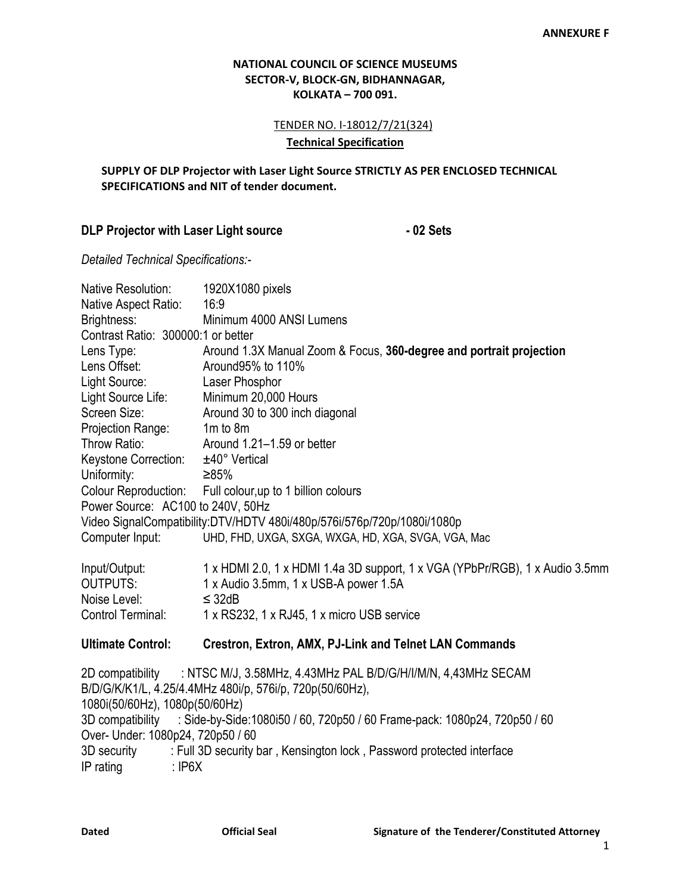### **NATIONAL COUNCIL OF SCIENCE MUSEUMS SECTOR-V, BLOCK-GN, BIDHANNAGAR, KOLKATA – 700 091.**

TENDER NO. I-18012/7/21(324)

#### **Technical Specification**

### **SUPPLY OF DLP Projector with Laser Light Source STRICTLY AS PER ENCLOSED TECHNICAL SPECIFICATIONS and NIT of tender document.**

# **DLP Projector with Laser Light source - 02 Sets**

*Detailed Technical Specifications:-*

| Native Resolution:                 | 1920X1080 pixels                                                                                                          |
|------------------------------------|---------------------------------------------------------------------------------------------------------------------------|
| Native Aspect Ratio:               | 16:9                                                                                                                      |
| Brightness:                        | Minimum 4000 ANSI Lumens                                                                                                  |
| Contrast Ratio: 300000:1 or better |                                                                                                                           |
| Lens Type:                         | Around 1.3X Manual Zoom & Focus, 360-degree and portrait projection                                                       |
| Lens Offset:                       | Around 95% to 110%                                                                                                        |
| Light Source:                      | Laser Phosphor                                                                                                            |
| Light Source Life:                 | Minimum 20,000 Hours                                                                                                      |
| Screen Size:                       | Around 30 to 300 inch diagonal                                                                                            |
| Projection Range:                  | $1m$ to $8m$                                                                                                              |
| Throw Ratio:                       | Around 1.21-1.59 or better                                                                                                |
| Keystone Correction:               | ±40° Vertical                                                                                                             |
| Uniformity:                        | ≥85%                                                                                                                      |
|                                    | Colour Reproduction: Full colour, up to 1 billion colours                                                                 |
| Power Source: AC100 to 240V, 50Hz  |                                                                                                                           |
|                                    | Video SignalCompatibility:DTV/HDTV 480i/480p/576i/576p/720p/1080i/1080p                                                   |
| Computer Input:                    | UHD, FHD, UXGA, SXGA, WXGA, HD, XGA, SVGA, VGA, Mac                                                                       |
| Input/Output:                      | 1 x HDMI 2.0, 1 x HDMI 1.4a 3D support, 1 x VGA (YPbPr/RGB), 1 x Audio 3.5mm                                              |
| <b>OUTPUTS:</b>                    | 1 x Audio 3.5mm, 1 x USB-A power 1.5A                                                                                     |
| Noise Level:                       | $\leq$ 32dB                                                                                                               |
| <b>Control Terminal:</b>           | 1 x RS232, 1 x RJ45, 1 x micro USB service                                                                                |
| <b>Ultimate Control:</b>           | <b>Crestron, Extron, AMX, PJ-Link and Telnet LAN Commands</b>                                                             |
| 2D compatibility                   | : NTSC M/J, 3.58MHz, 4.43MHz PAL B/D/G/H/I/M/N, 4,43MHz SECAM<br>B/D/G/K/K1/L, 4.25/4.4MHz 480i/p, 576i/p, 720p(50/60Hz), |
| 1080i(50/60Hz), 1080p(50/60Hz)     |                                                                                                                           |
|                                    | 3D compatibility : Side-by-Side:1080i50 / 60, 720p50 / 60 Frame-pack: 1080p24, 720p50 / 60                                |
| Over- Under: 1080p24, 720p50 / 60  |                                                                                                                           |
| 3D security                        | : Full 3D security bar, Kensington lock, Password protected interface                                                     |
| IP rating<br>$:$ IP6X              |                                                                                                                           |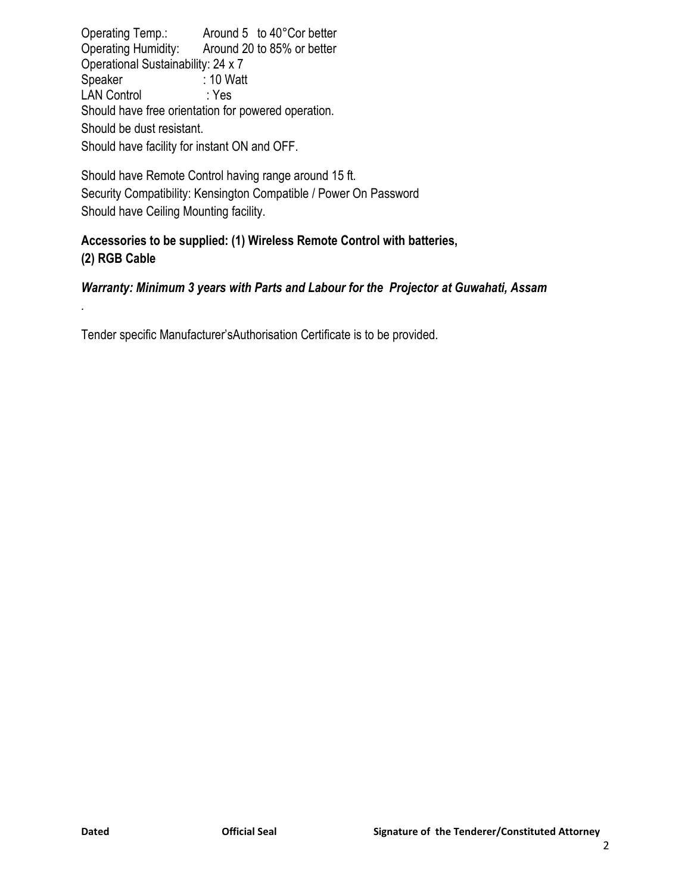Operating Temp.: Around 5 to 40°Cor better Operating Humidity: Around 20 to 85% or better Operational Sustainability: 24 x 7 Speaker : 10 Watt LAN Control : Yes Should have free orientation for powered operation. Should be dust resistant. Should have facility for instant ON and OFF.

Should have Remote Control having range around 15 ft. Security Compatibility: Kensington Compatible / Power On Password Should have Ceiling Mounting facility.

# **Accessories to be supplied: (1) Wireless Remote Control with batteries, (2) RGB Cable**

# *Warranty: Minimum 3 years with Parts and Labour for the Projector at Guwahati, Assam*

Tender specific Manufacturer'sAuthorisation Certificate is to be provided.

*.*